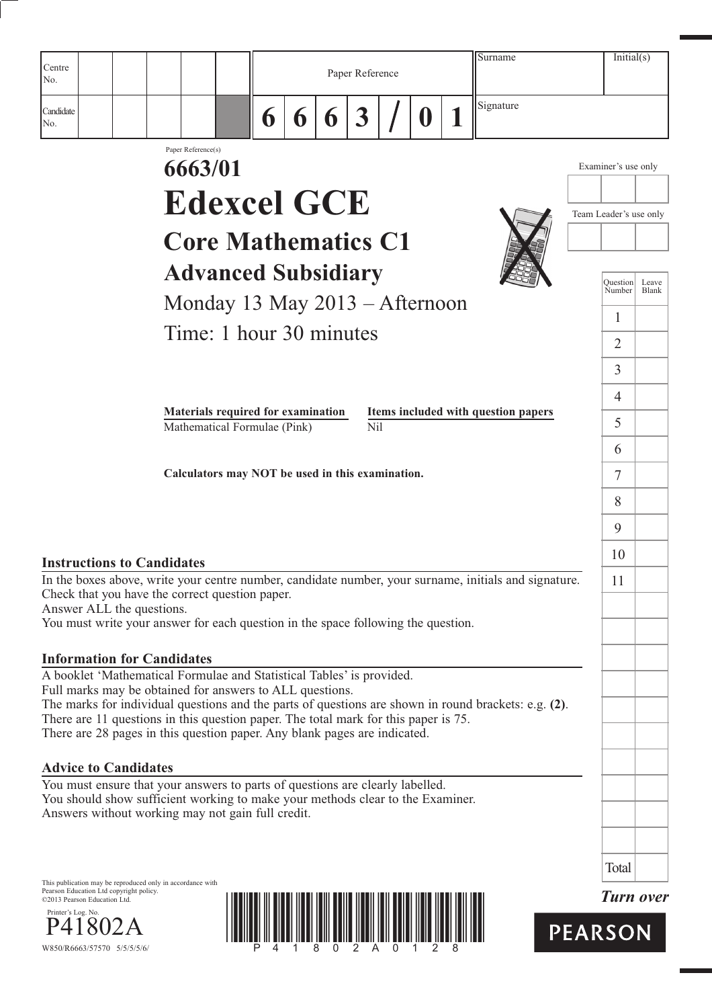|                                                                                                                                                                   |                               |                                                                    |   |   |   |                  |   | Surname                                                                                               | Initial(s)             |                |
|-------------------------------------------------------------------------------------------------------------------------------------------------------------------|-------------------------------|--------------------------------------------------------------------|---|---|---|------------------|---|-------------------------------------------------------------------------------------------------------|------------------------|----------------|
| Centre<br>No.                                                                                                                                                     |                               |                                                                    |   |   |   | Paper Reference  |   |                                                                                                       |                        |                |
| Candidate<br>No.                                                                                                                                                  |                               |                                                                    | 6 | 6 | 6 | $\boldsymbol{3}$ | D | Signature                                                                                             |                        |                |
|                                                                                                                                                                   | Paper Reference(s)<br>6663/01 |                                                                    |   |   |   |                  |   |                                                                                                       | Examiner's use only    |                |
|                                                                                                                                                                   |                               |                                                                    |   |   |   |                  |   |                                                                                                       |                        |                |
|                                                                                                                                                                   |                               | <b>Edexcel GCE</b>                                                 |   |   |   |                  |   |                                                                                                       | Team Leader's use only |                |
|                                                                                                                                                                   |                               | <b>Core Mathematics C1</b>                                         |   |   |   |                  |   |                                                                                                       |                        |                |
|                                                                                                                                                                   |                               | <b>Advanced Subsidiary</b>                                         |   |   |   |                  |   |                                                                                                       | Ouestion<br>Number     | Leave<br>Blank |
|                                                                                                                                                                   |                               | Monday 13 May 2013 – Afternoon                                     |   |   |   |                  |   |                                                                                                       |                        |                |
|                                                                                                                                                                   |                               | Time: 1 hour 30 minutes                                            |   |   |   |                  |   |                                                                                                       | 1                      |                |
|                                                                                                                                                                   |                               |                                                                    |   |   |   |                  |   |                                                                                                       | $\overline{2}$         |                |
|                                                                                                                                                                   |                               |                                                                    |   |   |   |                  |   |                                                                                                       | 3                      |                |
|                                                                                                                                                                   |                               |                                                                    |   |   |   |                  |   |                                                                                                       | $\overline{4}$         |                |
|                                                                                                                                                                   |                               | Materials required for examination<br>Mathematical Formulae (Pink) |   |   |   | N <sub>i</sub> l |   | Items included with question papers                                                                   | 5                      |                |
|                                                                                                                                                                   |                               |                                                                    |   |   |   |                  |   |                                                                                                       | 6                      |                |
|                                                                                                                                                                   |                               | Calculators may NOT be used in this examination.                   |   |   |   |                  |   |                                                                                                       | 7                      |                |
|                                                                                                                                                                   |                               |                                                                    |   |   |   |                  |   |                                                                                                       | 8                      |                |
|                                                                                                                                                                   |                               |                                                                    |   |   |   |                  |   |                                                                                                       | 9                      |                |
| <b>Instructions to Candidates</b>                                                                                                                                 |                               |                                                                    |   |   |   |                  |   |                                                                                                       | 10                     |                |
| Check that you have the correct question paper.<br>Answer ALL the questions.<br>You must write your answer for each question in the space following the question. |                               |                                                                    |   |   |   |                  |   | In the boxes above, write your centre number, candidate number, your surname, initials and signature. | 11                     |                |
| <b>Information for Candidates</b>                                                                                                                                 |                               |                                                                    |   |   |   |                  |   |                                                                                                       |                        |                |
| A booklet 'Mathematical Formulae and Statistical Tables' is provided.                                                                                             |                               |                                                                    |   |   |   |                  |   |                                                                                                       |                        |                |
| Full marks may be obtained for answers to ALL questions.                                                                                                          |                               |                                                                    |   |   |   |                  |   | The marks for individual questions and the parts of questions are shown in round brackets: e.g. (2).  |                        |                |
| There are 11 questions in this question paper. The total mark for this paper is 75.<br>There are 28 pages in this question paper. Any blank pages are indicated.  |                               |                                                                    |   |   |   |                  |   |                                                                                                       |                        |                |
| <b>Advice to Candidates</b>                                                                                                                                       |                               |                                                                    |   |   |   |                  |   |                                                                                                       |                        |                |
| You must ensure that your answers to parts of questions are clearly labelled.<br>You should show sufficient working to make your methods clear to the Examiner.   |                               |                                                                    |   |   |   |                  |   |                                                                                                       |                        |                |
| Answers without working may not gain full credit.                                                                                                                 |                               |                                                                    |   |   |   |                  |   |                                                                                                       |                        |                |
|                                                                                                                                                                   |                               |                                                                    |   |   |   |                  |   |                                                                                                       |                        |                |
|                                                                                                                                                                   |                               |                                                                    |   |   |   |                  |   |                                                                                                       | Total                  |                |
| This publication may be reproduced only in accordance with<br>Pearson Education Ltd copyright policy.<br>©2013 Pearson Education Ltd.                             |                               |                                                                    |   |   |   |                  |   |                                                                                                       | <b>Turn over</b>       |                |



P41802A  $P41802A$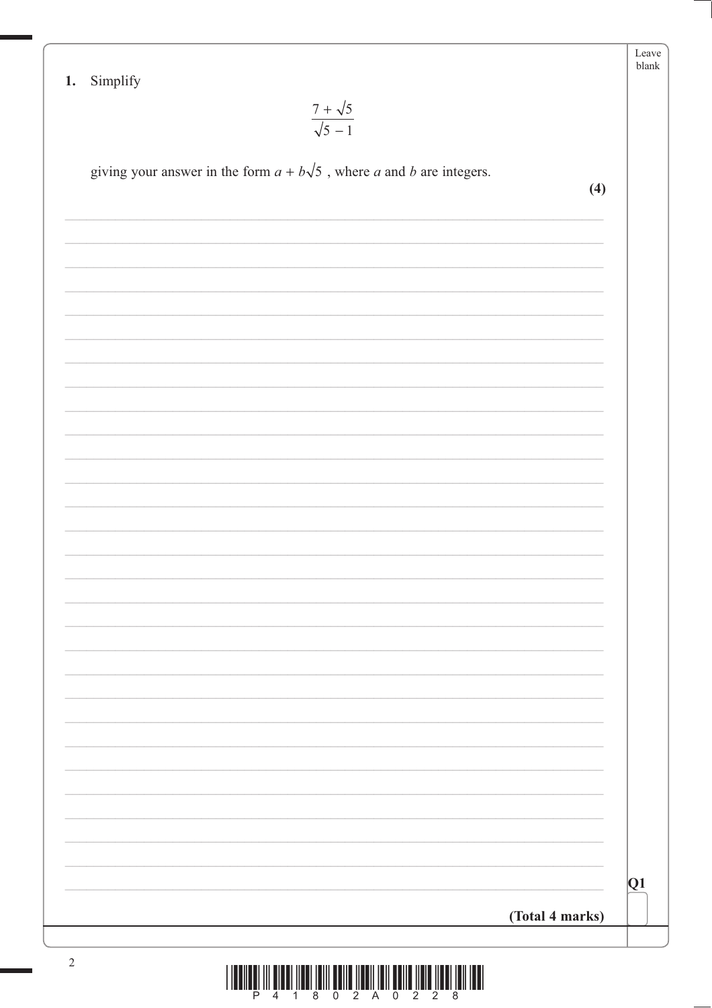| Simplify<br>1.<br>$\frac{7 + \sqrt{5}}{\sqrt{5 - 1}}$                        |                 |
|------------------------------------------------------------------------------|-----------------|
| giving your answer in the form $a + b\sqrt{5}$ , where a and b are integers. | (4)             |
|                                                                              |                 |
|                                                                              |                 |
|                                                                              |                 |
|                                                                              |                 |
|                                                                              |                 |
|                                                                              |                 |
|                                                                              |                 |
|                                                                              |                 |
|                                                                              |                 |
|                                                                              |                 |
|                                                                              |                 |
|                                                                              |                 |
|                                                                              |                 |
|                                                                              |                 |
|                                                                              |                 |
|                                                                              |                 |
|                                                                              |                 |
|                                                                              |                 |
|                                                                              | $ {\mathrm Q}1$ |
|                                                                              | (Total 4 marks) |

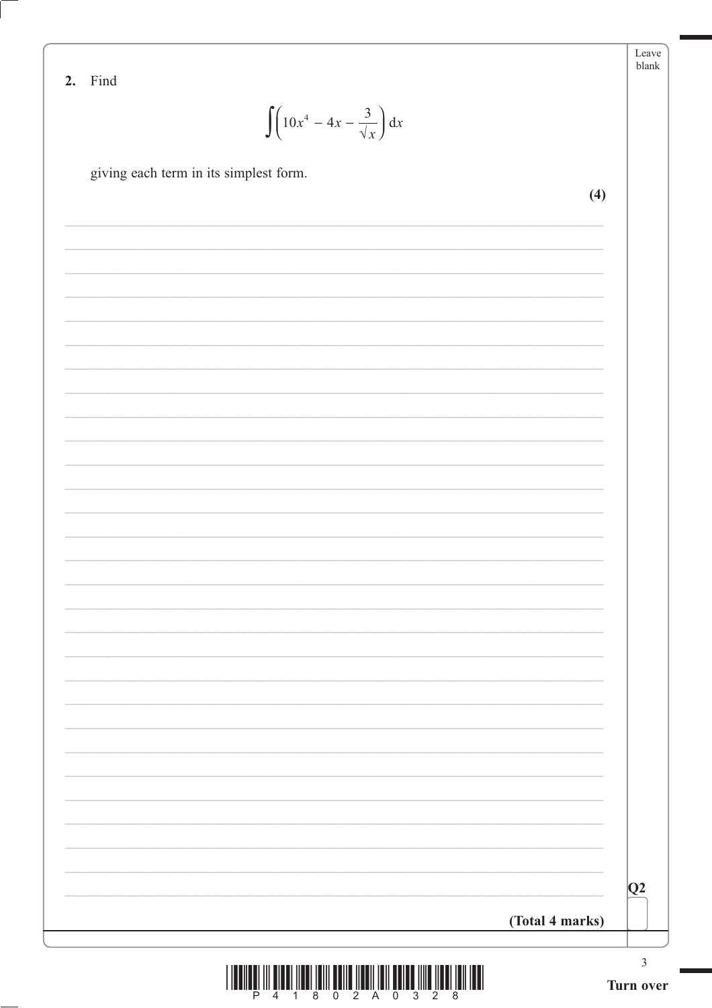| ian |
|-----|

| ing |
|-----|
|     |

 $\int \left(10x^4 - 4x - \frac{3}{\sqrt{x}}\right) dx$ 

giving each term in its simplest form.

 $(4)$ 

|                                                                                                               |                 | Q2             |
|---------------------------------------------------------------------------------------------------------------|-----------------|----------------|
|                                                                                                               |                 |                |
|                                                                                                               | (Total 4 marks) |                |
| , 111 - 212 - 213 - 214 - 215 - 216 - 217 - 218 - 219 - 210 - 211 - 212 - 213 - 214 - 215 - 216 - 217 - 228 - |                 | $\mathfrak{Z}$ |

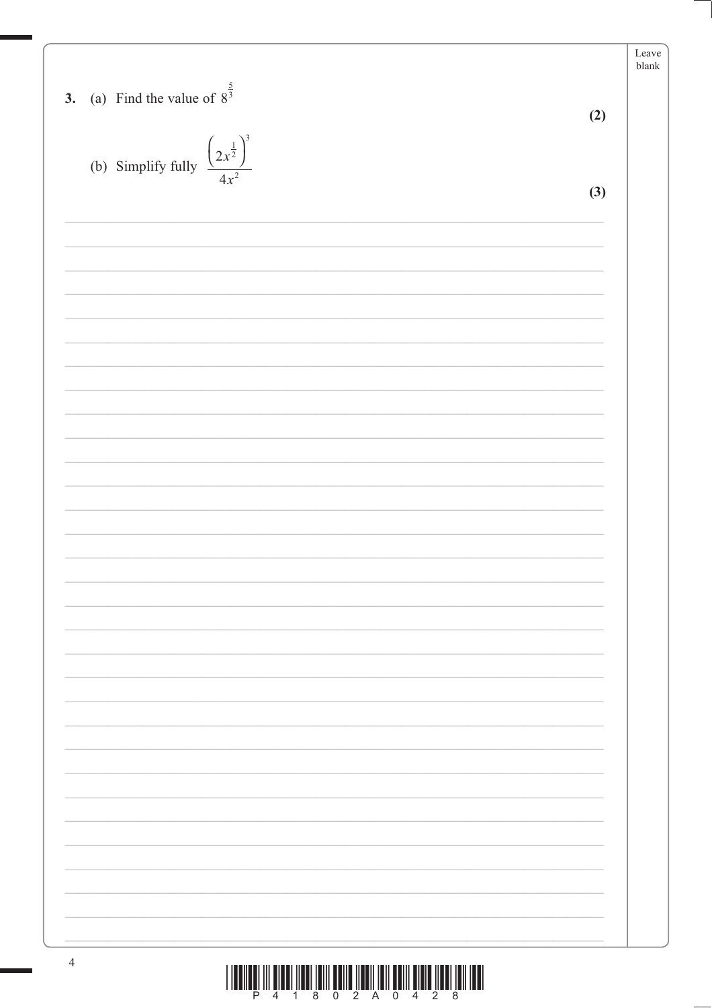|                                                         |     | Leave<br>$b$ lank |
|---------------------------------------------------------|-----|-------------------|
|                                                         |     |                   |
| 3. (a) Find the value of $8^{\frac{5}{3}}$              |     |                   |
|                                                         | (2) |                   |
|                                                         |     |                   |
| $\left(2x^{\frac{1}{2}}\right)^3$<br>(b) Simplify fully |     |                   |
| $4x^2$                                                  |     |                   |
|                                                         | (3) |                   |
|                                                         |     |                   |
|                                                         |     |                   |
|                                                         |     |                   |
|                                                         |     |                   |
|                                                         |     |                   |
|                                                         |     |                   |
|                                                         |     |                   |
|                                                         |     |                   |
|                                                         |     |                   |
|                                                         |     |                   |
|                                                         |     |                   |
|                                                         |     |                   |
|                                                         |     |                   |
|                                                         |     |                   |
|                                                         |     |                   |
|                                                         |     |                   |
|                                                         |     |                   |
|                                                         |     |                   |
|                                                         |     |                   |
|                                                         |     |                   |
|                                                         |     |                   |
|                                                         |     |                   |
|                                                         |     |                   |
|                                                         |     |                   |
|                                                         |     |                   |
|                                                         |     |                   |
|                                                         |     |                   |
|                                                         |     |                   |
|                                                         |     |                   |
|                                                         |     |                   |
|                                                         |     |                   |
|                                                         |     |                   |
|                                                         |     |                   |
|                                                         |     |                   |
|                                                         |     |                   |
|                                                         |     |                   |
|                                                         |     |                   |

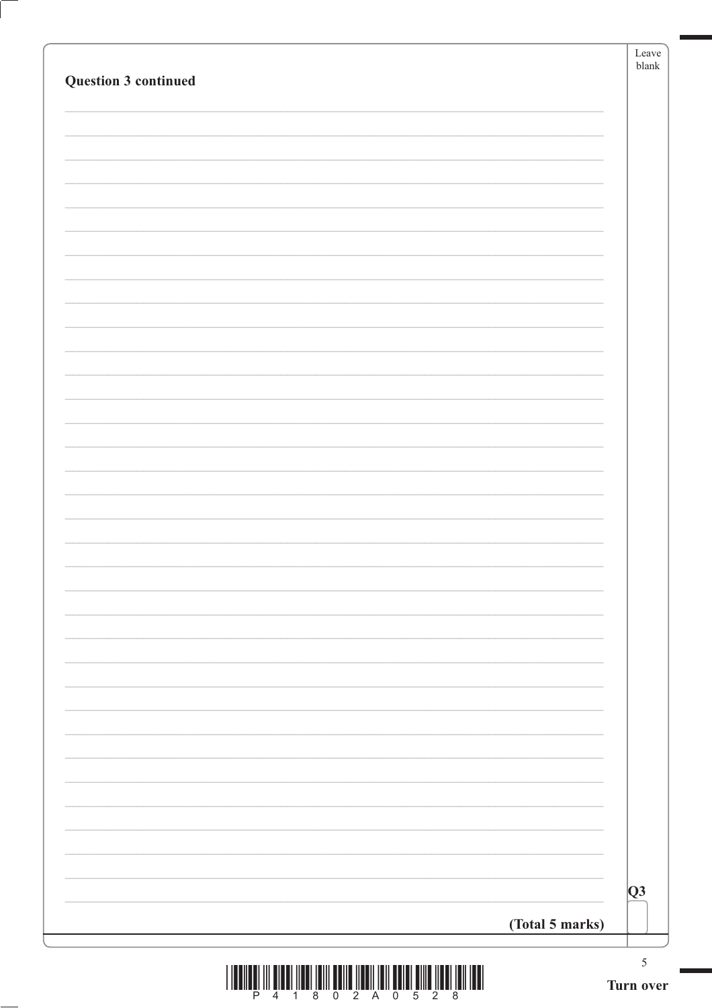| <b>Question 3 continued</b>                                                         | Leave<br>$b$ lank |
|-------------------------------------------------------------------------------------|-------------------|
|                                                                                     |                   |
|                                                                                     |                   |
|                                                                                     |                   |
|                                                                                     |                   |
|                                                                                     |                   |
|                                                                                     |                   |
|                                                                                     |                   |
|                                                                                     |                   |
|                                                                                     |                   |
|                                                                                     |                   |
|                                                                                     |                   |
|                                                                                     |                   |
|                                                                                     |                   |
|                                                                                     |                   |
|                                                                                     |                   |
|                                                                                     |                   |
|                                                                                     |                   |
|                                                                                     | $\overline{Q}3$   |
| (Total 5 marks)                                                                     |                   |
| 1.10011001.111.010101.11001.10111.00110.110011.1011.0011.0011.011.011.011.1001.1001 | $\mathfrak{S}$    |

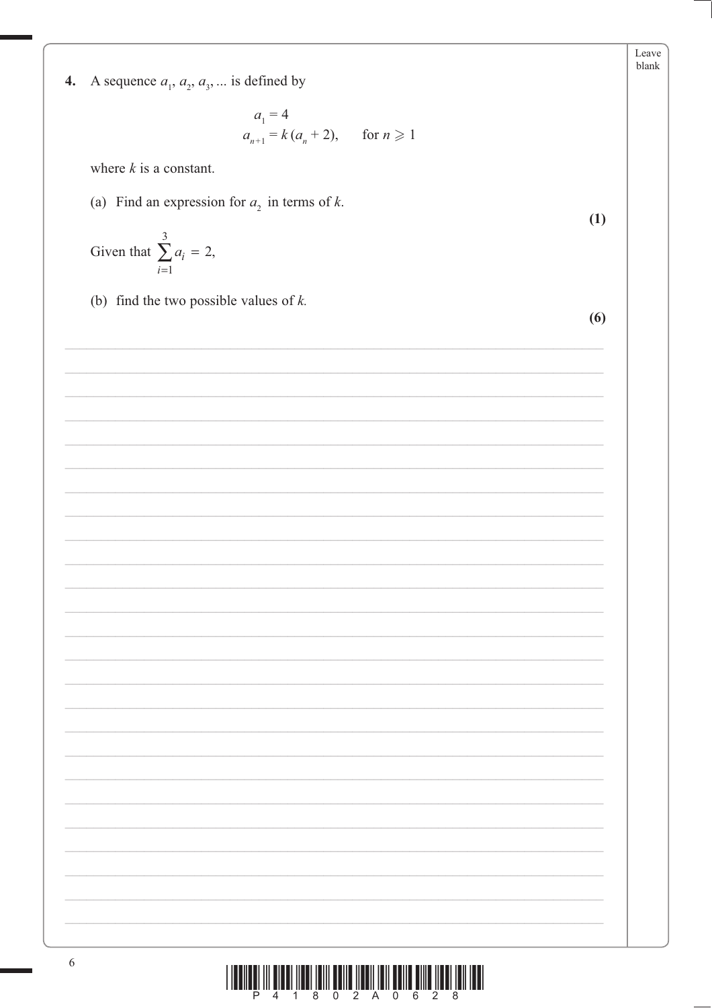4. A sequence  $a_1, a_2, a_3, \dots$  is defined by

$$
a_1 = 4
$$
  
\n
$$
a_{n+1} = k(a_n + 2), \quad \text{for } n \ge 1
$$

where  $k$  is a constant.

(a) Find an expression for  $a_2$  in terms of k.

Given that 
$$
\sum_{i=1}^{3} a_i = 2,
$$

(b) find the two possible values of  $k$ .

 $(6)$ 

 $(1)$ 

Leave blank

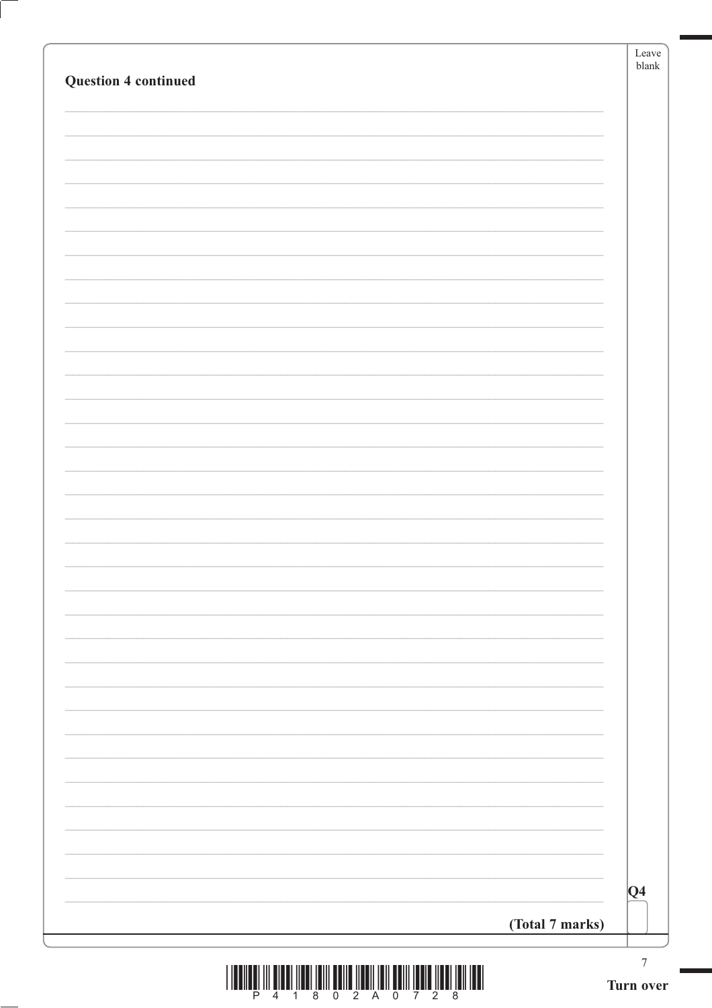| <b>Question 4 continued</b> | Leave<br>$b$ lank |
|-----------------------------|-------------------|
|                             |                   |
|                             |                   |
|                             |                   |
|                             |                   |
|                             |                   |
|                             |                   |
|                             |                   |
|                             |                   |
|                             |                   |
|                             |                   |
|                             |                   |
|                             |                   |
|                             |                   |
|                             |                   |
|                             |                   |
|                             |                   |
|                             |                   |
|                             |                   |
|                             |                   |
|                             |                   |
|                             |                   |
|                             |                   |
|                             |                   |
|                             |                   |
|                             |                   |
|                             |                   |
|                             |                   |
|                             |                   |
|                             | $ Q_4 $           |
| (Total 7 marks)             |                   |

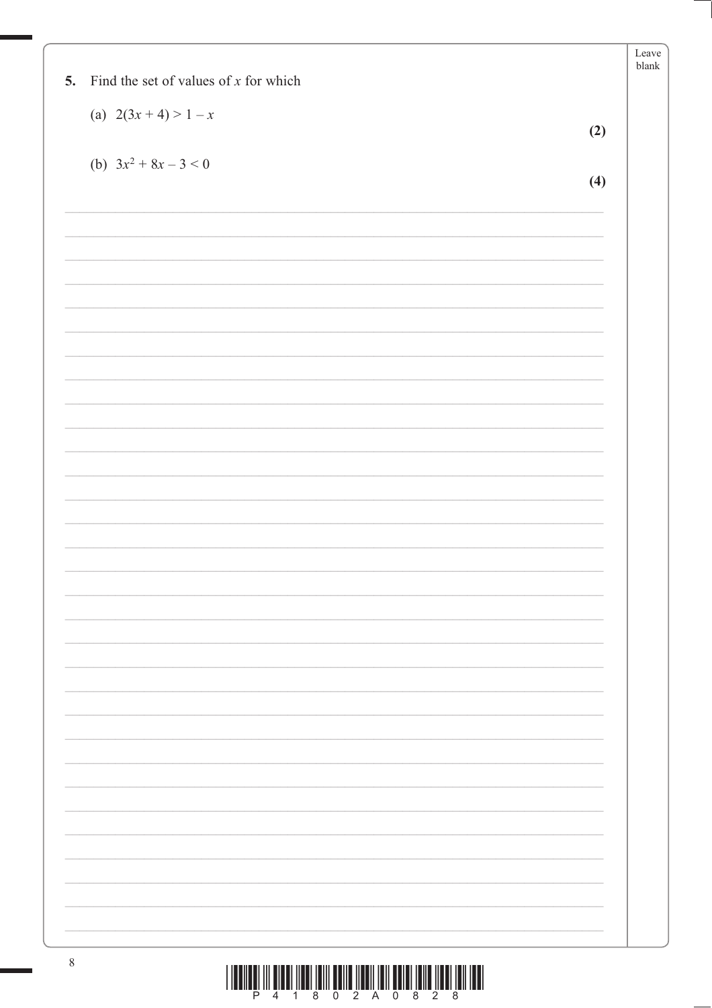|    |                                         | Leave<br>${\tt blank}$ |
|----|-----------------------------------------|------------------------|
| 5. | Find the set of values of $x$ for which |                        |
|    | (a) $2(3x+4) > 1-x$                     |                        |
|    | (2)                                     |                        |
|    |                                         |                        |
|    | (b) $3x^2 + 8x - 3 < 0$<br>(4)          |                        |
|    |                                         |                        |
|    |                                         |                        |
|    |                                         |                        |
|    |                                         |                        |
|    |                                         |                        |
|    |                                         |                        |
|    |                                         |                        |
|    |                                         |                        |
|    |                                         |                        |
|    |                                         |                        |
|    |                                         |                        |
|    |                                         |                        |
|    |                                         |                        |
|    |                                         |                        |
|    |                                         |                        |
|    |                                         |                        |
|    |                                         |                        |
|    |                                         |                        |
|    |                                         |                        |
|    |                                         |                        |
|    |                                         |                        |
|    |                                         |                        |
|    |                                         |                        |
|    |                                         |                        |
|    |                                         |                        |
|    |                                         |                        |
|    |                                         |                        |
|    |                                         |                        |
|    |                                         |                        |
|    |                                         |                        |
|    |                                         |                        |
|    |                                         |                        |
|    |                                         |                        |
|    |                                         |                        |

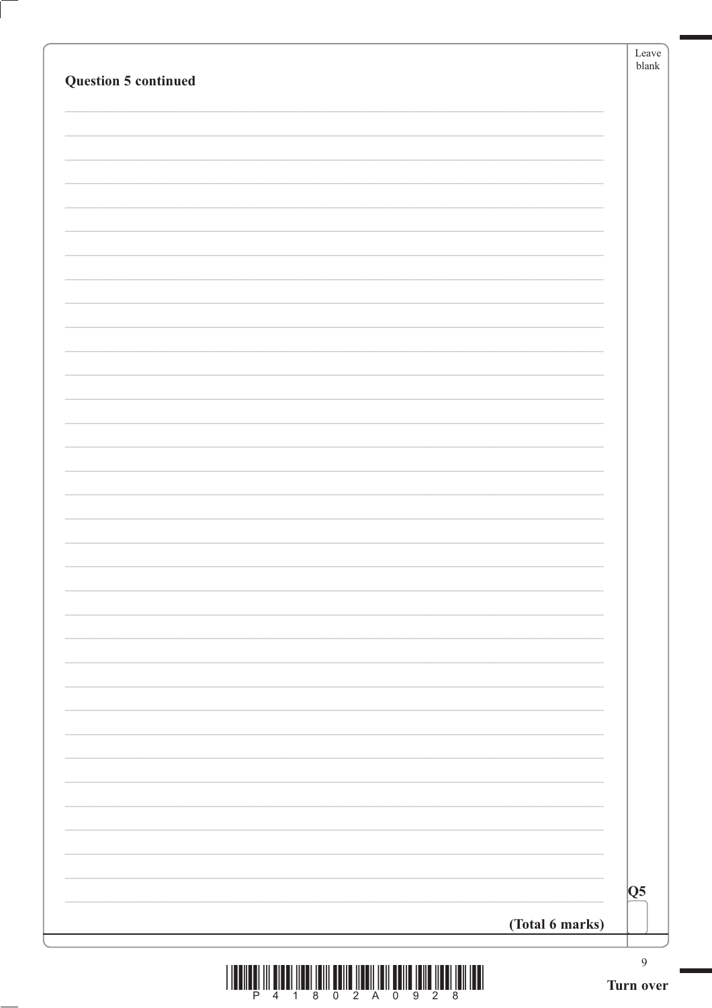| <b>Question 5 continued</b> | Leave<br>${\tt blank}$ |
|-----------------------------|------------------------|
|                             |                        |
|                             |                        |
|                             |                        |
|                             |                        |
|                             |                        |
|                             |                        |
|                             |                        |
|                             |                        |
|                             |                        |
|                             |                        |
|                             |                        |
|                             |                        |
|                             |                        |
|                             |                        |
|                             |                        |
|                             |                        |
|                             |                        |
|                             |                        |
|                             |                        |
|                             |                        |
|                             |                        |
|                             | Q5                     |
| (Total 6 marks)             |                        |
|                             | $\overline{9}$         |

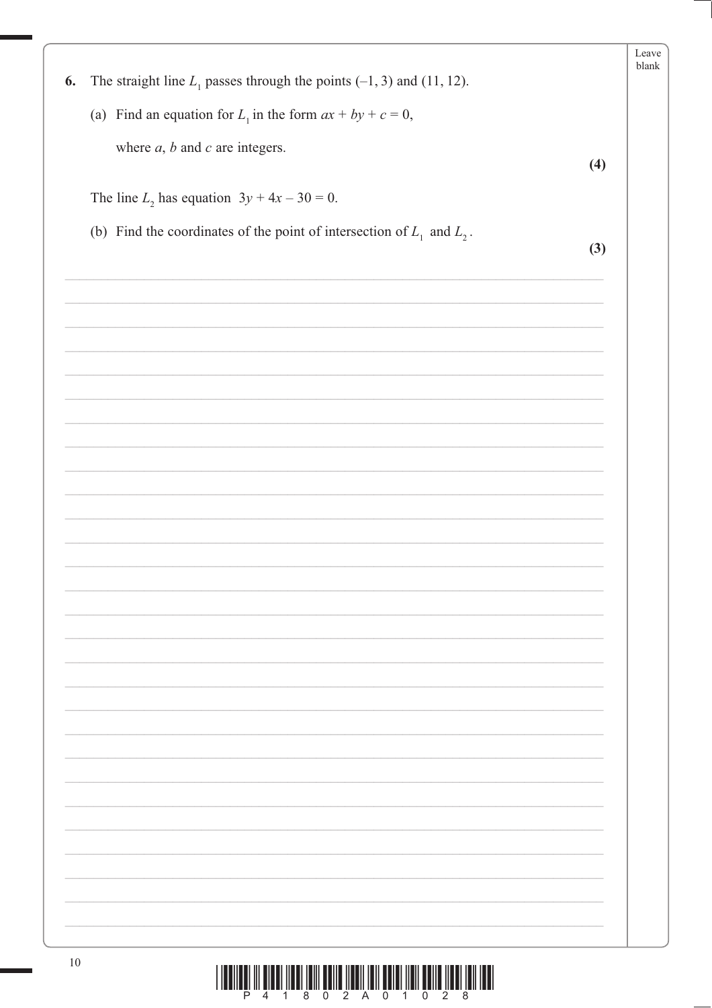| The straight line $L_1$ passes through the points (-1, 3) and (11, 12).<br>6. |     | Leave<br>blank |
|-------------------------------------------------------------------------------|-----|----------------|
| (a) Find an equation for $L_1$ in the form $ax + by + c = 0$ ,                |     |                |
|                                                                               |     |                |
| where $a, b$ and $c$ are integers.                                            | (4) |                |
| The line $L_2$ has equation $3y + 4x - 30 = 0$ .                              |     |                |
| (b) Find the coordinates of the point of intersection of $L_1$ and $L_2$ .    | (3) |                |
|                                                                               |     |                |
|                                                                               |     |                |
|                                                                               |     |                |
|                                                                               |     |                |
|                                                                               |     |                |
|                                                                               |     |                |
|                                                                               |     |                |
|                                                                               |     |                |
|                                                                               |     |                |
|                                                                               |     |                |
|                                                                               |     |                |
|                                                                               |     |                |
|                                                                               |     |                |
|                                                                               |     |                |
|                                                                               |     |                |
|                                                                               |     |                |
|                                                                               |     |                |
|                                                                               |     |                |
|                                                                               |     |                |
|                                                                               |     |                |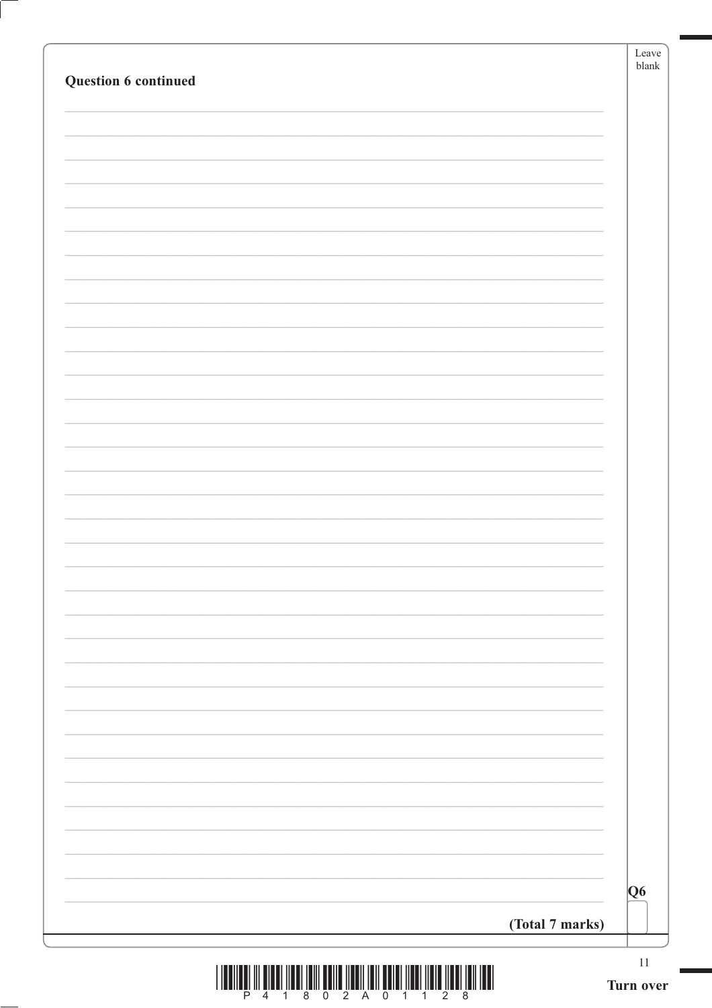|                                                                                                | Leave<br>$b$ lank |
|------------------------------------------------------------------------------------------------|-------------------|
| Question 6 continued                                                                           |                   |
|                                                                                                |                   |
|                                                                                                |                   |
|                                                                                                |                   |
|                                                                                                |                   |
|                                                                                                |                   |
|                                                                                                |                   |
|                                                                                                |                   |
|                                                                                                |                   |
|                                                                                                |                   |
|                                                                                                |                   |
|                                                                                                |                   |
|                                                                                                |                   |
|                                                                                                |                   |
|                                                                                                |                   |
|                                                                                                |                   |
|                                                                                                |                   |
|                                                                                                |                   |
|                                                                                                |                   |
|                                                                                                |                   |
|                                                                                                |                   |
|                                                                                                |                   |
|                                                                                                |                   |
|                                                                                                |                   |
|                                                                                                |                   |
|                                                                                                |                   |
|                                                                                                |                   |
|                                                                                                |                   |
|                                                                                                |                   |
|                                                                                                |                   |
|                                                                                                |                   |
|                                                                                                |                   |
|                                                                                                |                   |
|                                                                                                |                   |
|                                                                                                |                   |
|                                                                                                |                   |
|                                                                                                | Q6                |
| (Total 7 marks)                                                                                |                   |
|                                                                                                |                   |
| -----------------------<br>计计算 医神经炎<br>.<br><b>HERE</b><br><b>JED 1</b><br>- 111 - 1<br>.<br>. | $11\,$            |

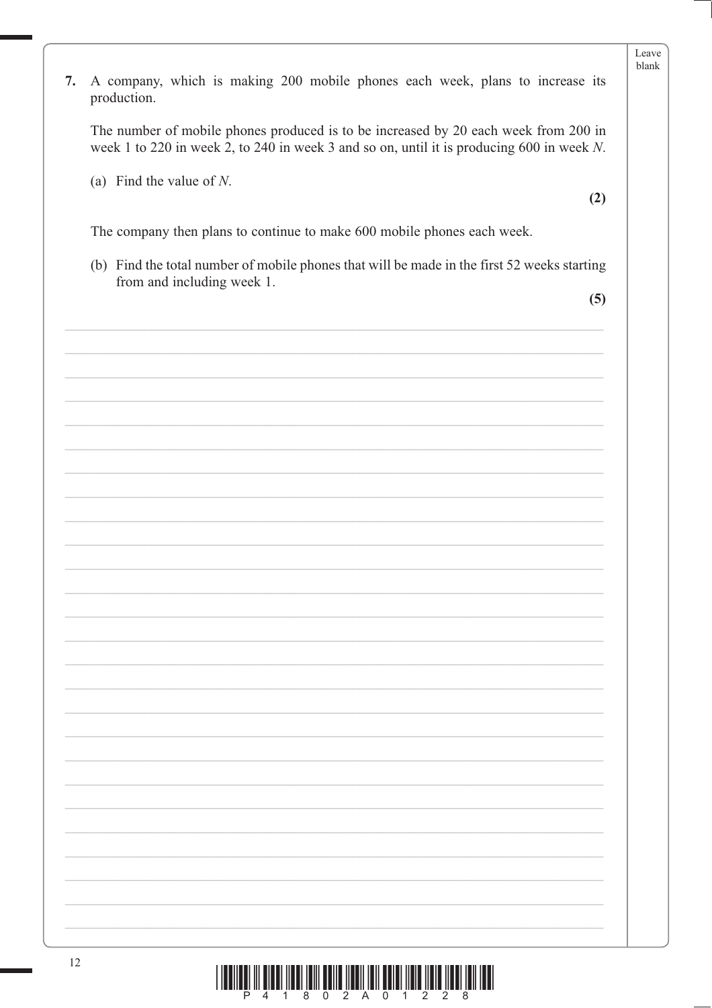|    |                                                                                                                                                                                  | Leave<br>blank |
|----|----------------------------------------------------------------------------------------------------------------------------------------------------------------------------------|----------------|
| 7. | A company, which is making 200 mobile phones each week, plans to increase its<br>production.                                                                                     |                |
|    | The number of mobile phones produced is to be increased by 20 each week from 200 in<br>week 1 to 220 in week 2, to 240 in week 3 and so on, until it is producing 600 in week N. |                |
|    | (a) Find the value of $N$ .                                                                                                                                                      |                |
|    | (2)                                                                                                                                                                              |                |
|    | The company then plans to continue to make 600 mobile phones each week.                                                                                                          |                |
|    | (b) Find the total number of mobile phones that will be made in the first 52 weeks starting<br>from and including week 1.                                                        |                |
|    | (5)                                                                                                                                                                              |                |
|    |                                                                                                                                                                                  |                |
|    |                                                                                                                                                                                  |                |
|    |                                                                                                                                                                                  |                |
|    |                                                                                                                                                                                  |                |
|    |                                                                                                                                                                                  |                |
|    |                                                                                                                                                                                  |                |
|    |                                                                                                                                                                                  |                |
|    |                                                                                                                                                                                  |                |
|    |                                                                                                                                                                                  |                |
|    |                                                                                                                                                                                  |                |
|    |                                                                                                                                                                                  |                |
|    |                                                                                                                                                                                  |                |
|    |                                                                                                                                                                                  |                |
|    |                                                                                                                                                                                  |                |
|    |                                                                                                                                                                                  |                |
|    |                                                                                                                                                                                  |                |
|    |                                                                                                                                                                                  |                |
|    |                                                                                                                                                                                  |                |
|    |                                                                                                                                                                                  |                |
|    |                                                                                                                                                                                  |                |
|    |                                                                                                                                                                                  |                |

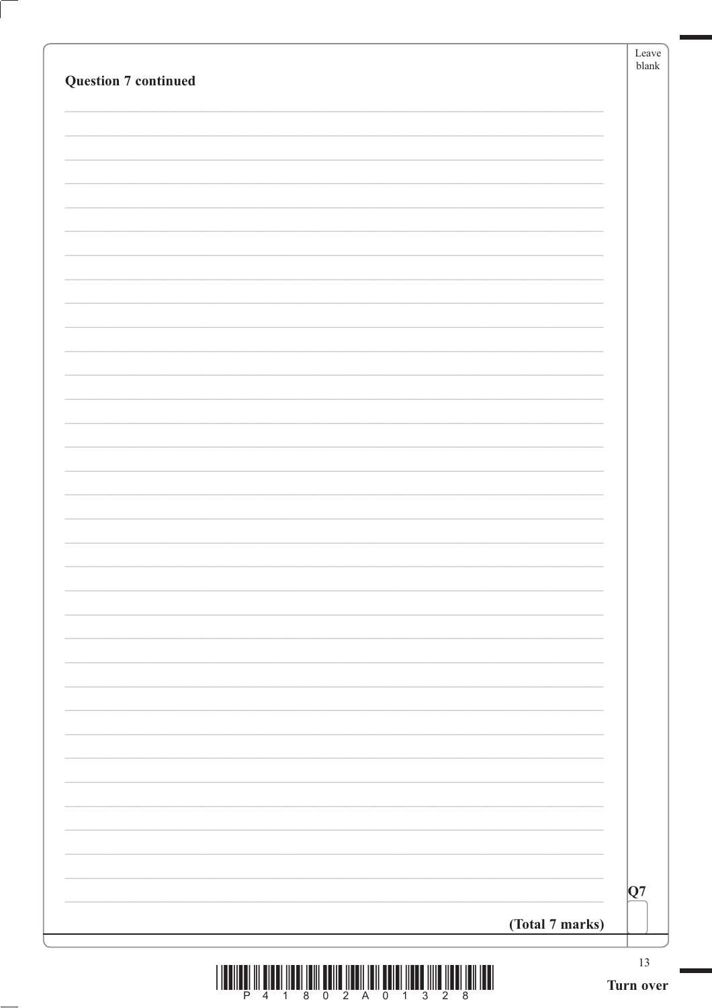| <b>Question 7 continued</b> |                 | Leave<br>blank |
|-----------------------------|-----------------|----------------|
|                             |                 |                |
|                             |                 |                |
|                             |                 |                |
|                             |                 |                |
|                             |                 |                |
|                             |                 |                |
|                             |                 |                |
|                             |                 |                |
|                             |                 |                |
|                             |                 |                |
|                             |                 |                |
|                             |                 |                |
|                             |                 |                |
|                             |                 |                |
|                             |                 |                |
|                             |                 |                |
|                             |                 |                |
|                             |                 |                |
|                             |                 |                |
|                             |                 |                |
|                             |                 |                |
|                             |                 |                |
|                             |                 |                |
|                             |                 | Q7             |
|                             | (Total 7 marks) |                |
|                             |                 | 13             |

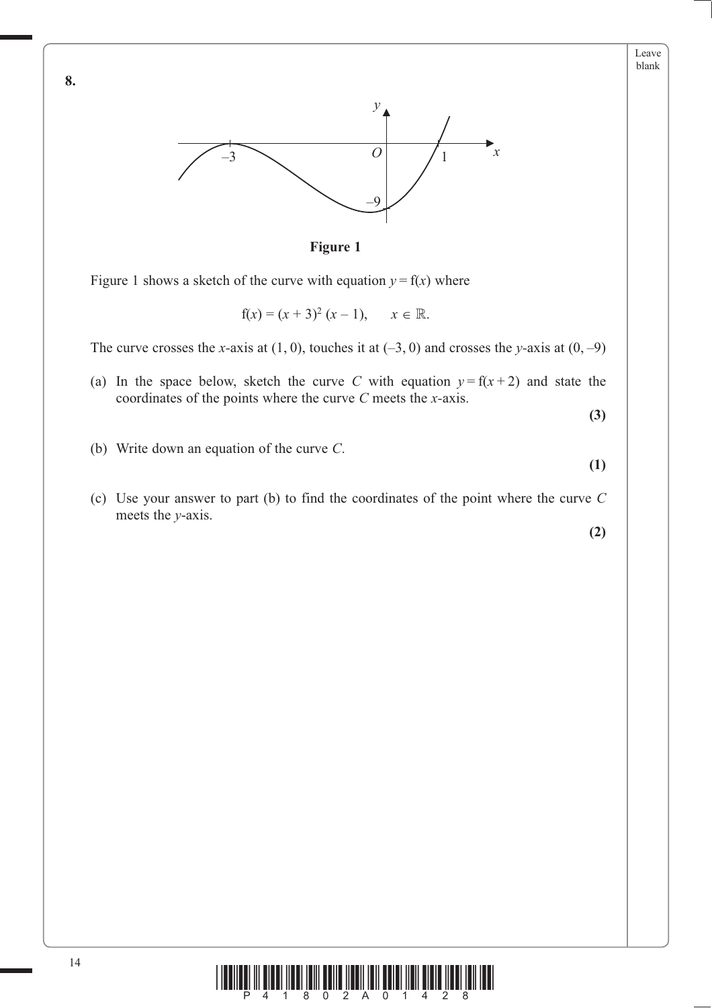





Figure 1 shows a sketch of the curve with equation  $y = f(x)$  where

 $f(x) = (x + 3)^2 (x - 1), \quad x \in$  $\mathbb R.$ 

The curve crosses the *x*-axis at  $(1, 0)$ , touches it at  $(-3, 0)$  and crosses the *y*-axis at  $(0, -9)$ 

(a) In the space below, sketch the curve *C* with equation  $y = f(x + 2)$  and state the coordinates of the points where the curve *C* meets the *x-*axis.

**(3)**

**(1)**

- (b) Write down an equation of the curve *C*.
- (c) Use your answer to part (b) to find the coordinates of the point where the curve *C* meets the *y*-axis.

**(2)**



**8.**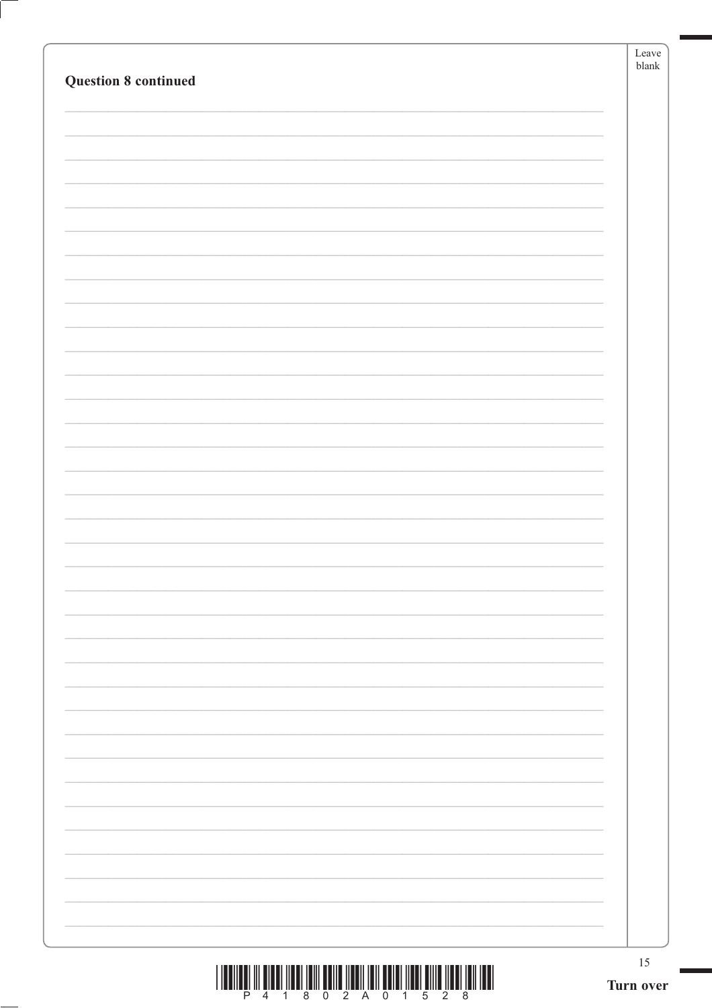|                             |           | Leave<br>${\it blank}$ |
|-----------------------------|-----------|------------------------|
| <b>Question 8 continued</b> |           |                        |
|                             |           |                        |
|                             |           |                        |
|                             |           |                        |
|                             |           |                        |
|                             |           |                        |
|                             |           |                        |
|                             |           |                        |
|                             |           |                        |
|                             |           |                        |
|                             |           |                        |
|                             |           |                        |
|                             |           |                        |
|                             |           |                        |
|                             |           |                        |
|                             |           |                        |
|                             |           |                        |
|                             |           |                        |
|                             |           |                        |
|                             |           |                        |
|                             |           |                        |
|                             |           |                        |
|                             |           |                        |
|                             |           |                        |
|                             |           |                        |
|                             |           |                        |
|                             |           |                        |
|                             |           |                        |
|                             |           |                        |
|                             |           |                        |
|                             |           |                        |
|                             |           | 15                     |
|                             | Turn over |                        |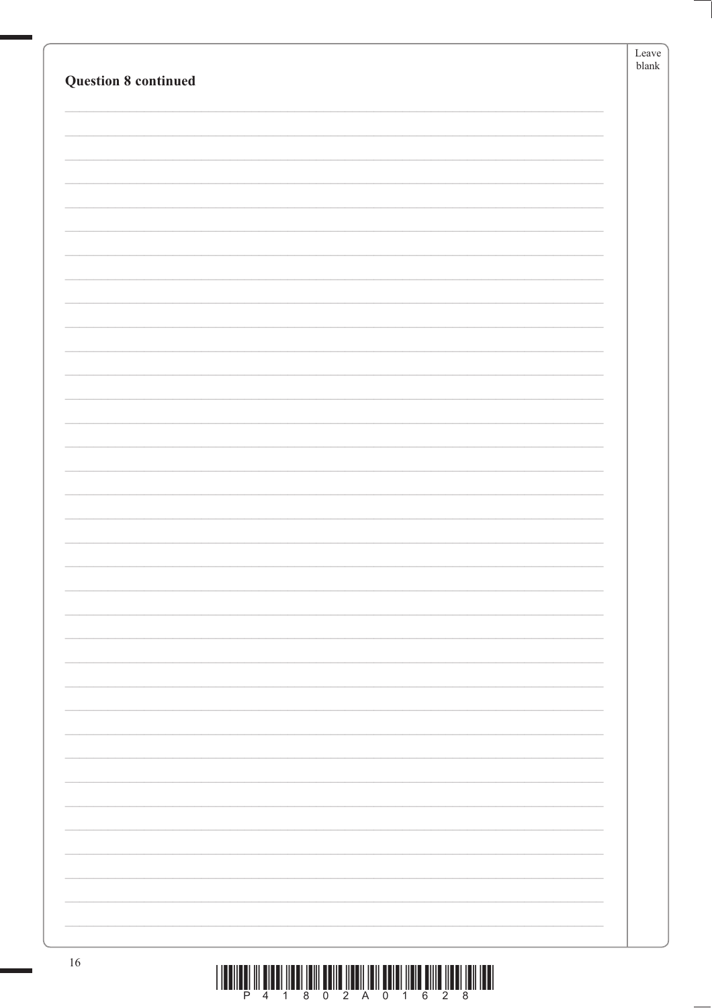|                                                                                                                                                                                                                                            | Leave         |
|--------------------------------------------------------------------------------------------------------------------------------------------------------------------------------------------------------------------------------------------|---------------|
|                                                                                                                                                                                                                                            | ${\tt blank}$ |
| <b>Question 8 continued</b>                                                                                                                                                                                                                |               |
|                                                                                                                                                                                                                                            |               |
|                                                                                                                                                                                                                                            |               |
|                                                                                                                                                                                                                                            |               |
|                                                                                                                                                                                                                                            |               |
|                                                                                                                                                                                                                                            |               |
|                                                                                                                                                                                                                                            |               |
|                                                                                                                                                                                                                                            |               |
|                                                                                                                                                                                                                                            |               |
|                                                                                                                                                                                                                                            |               |
|                                                                                                                                                                                                                                            |               |
|                                                                                                                                                                                                                                            |               |
|                                                                                                                                                                                                                                            |               |
|                                                                                                                                                                                                                                            |               |
|                                                                                                                                                                                                                                            |               |
|                                                                                                                                                                                                                                            |               |
|                                                                                                                                                                                                                                            |               |
|                                                                                                                                                                                                                                            |               |
|                                                                                                                                                                                                                                            |               |
|                                                                                                                                                                                                                                            |               |
|                                                                                                                                                                                                                                            |               |
|                                                                                                                                                                                                                                            |               |
|                                                                                                                                                                                                                                            |               |
|                                                                                                                                                                                                                                            |               |
|                                                                                                                                                                                                                                            |               |
|                                                                                                                                                                                                                                            |               |
|                                                                                                                                                                                                                                            |               |
|                                                                                                                                                                                                                                            |               |
|                                                                                                                                                                                                                                            |               |
|                                                                                                                                                                                                                                            |               |
|                                                                                                                                                                                                                                            |               |
|                                                                                                                                                                                                                                            |               |
|                                                                                                                                                                                                                                            |               |
|                                                                                                                                                                                                                                            |               |
|                                                                                                                                                                                                                                            |               |
|                                                                                                                                                                                                                                            |               |
|                                                                                                                                                                                                                                            |               |
|                                                                                                                                                                                                                                            |               |
|                                                                                                                                                                                                                                            |               |
|                                                                                                                                                                                                                                            |               |
|                                                                                                                                                                                                                                            |               |
|                                                                                                                                                                                                                                            |               |
|                                                                                                                                                                                                                                            |               |
|                                                                                                                                                                                                                                            |               |
|                                                                                                                                                                                                                                            |               |
|                                                                                                                                                                                                                                            |               |
|                                                                                                                                                                                                                                            |               |
|                                                                                                                                                                                                                                            |               |
|                                                                                                                                                                                                                                            |               |
|                                                                                                                                                                                                                                            |               |
| 16<br><u>t the common the mothers them a most member of the contract of the common them the contracts of the common the contracts of the common the contracts of the contracts of the contracts of the contracts of the contracts of t</u> |               |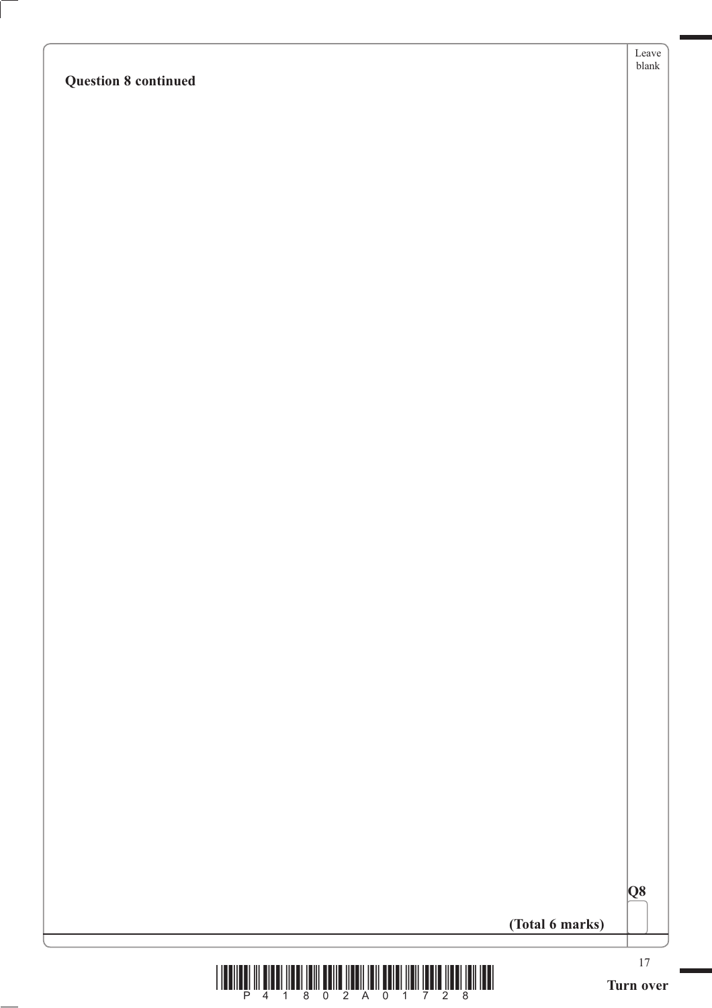Leave blank

|  | (Total 6 marks) |
|--|-----------------|
|  |                 |

|  | PU 1 |
|--|------|
|  |      |

**Q8**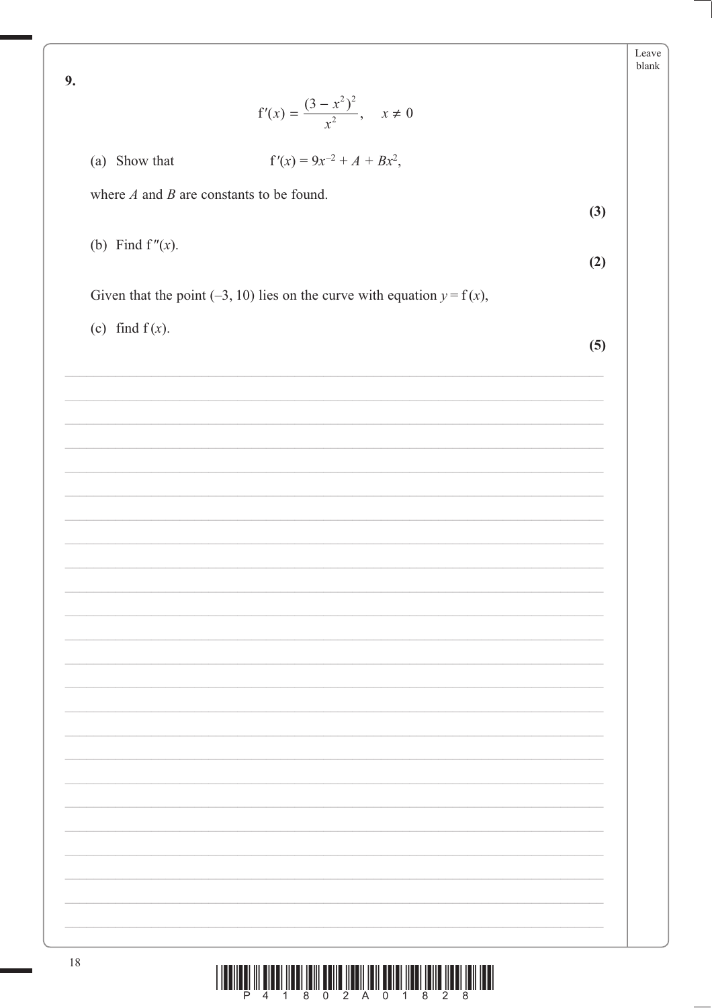$\mathbf{o}$ 

| Leave |
|-------|
| hlank |

| $\overline{z}$<br>$f'(x) = \frac{(3 - x^2)^2}{x^2}, \quad x \neq 0$        |     |
|----------------------------------------------------------------------------|-----|
| $f'(x) = 9x^{-2} + A + Bx^2$ ,<br>(a) Show that                            |     |
| where $A$ and $B$ are constants to be found.                               | (3) |
| (b) Find $f''(x)$ .                                                        | (2) |
| Given that the point (-3, 10) lies on the curve with equation $y = f(x)$ , |     |
| (c) find $f(x)$ .                                                          | (5) |
|                                                                            |     |
|                                                                            |     |
|                                                                            |     |
|                                                                            |     |
|                                                                            |     |
|                                                                            |     |
|                                                                            |     |
|                                                                            |     |
|                                                                            |     |
|                                                                            |     |
|                                                                            |     |

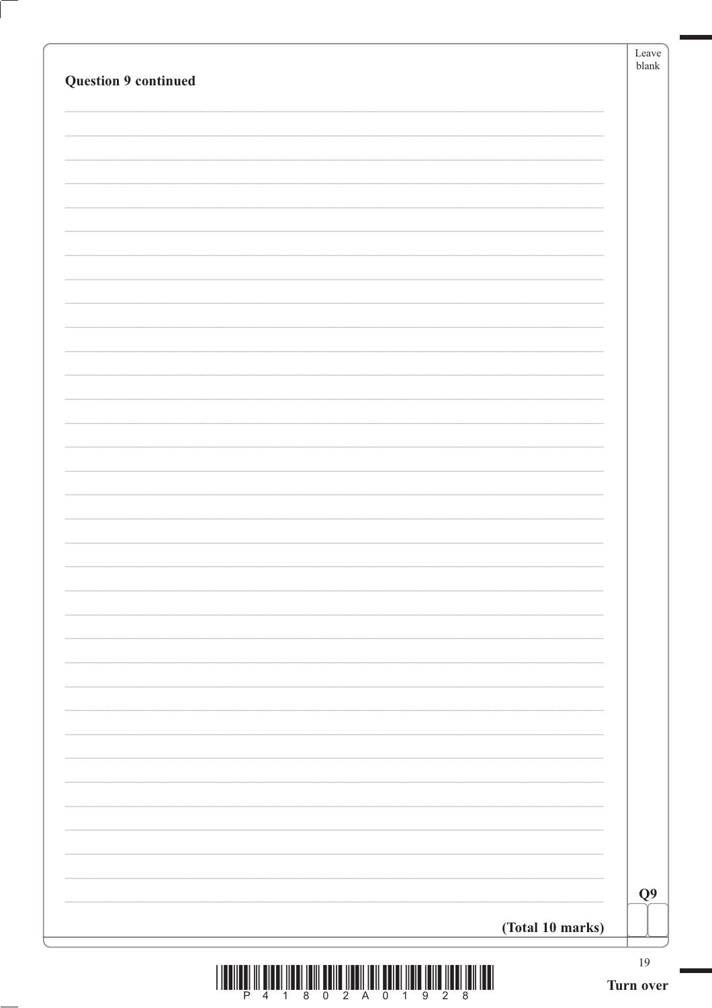| <b>Question 9 continued</b> | Leave<br>blank |
|-----------------------------|----------------|
|                             |                |
|                             |                |
|                             |                |
|                             |                |
|                             |                |
|                             |                |
|                             |                |
|                             |                |
|                             |                |
|                             |                |
|                             |                |
|                             |                |
|                             |                |
|                             |                |
|                             |                |
|                             |                |
|                             |                |
|                             |                |
|                             |                |
|                             |                |
|                             |                |
|                             |                |
|                             |                |
|                             |                |
|                             |                |
|                             |                |
|                             | Q <sub>9</sub> |
| (Total 10 marks)            |                |
|                             | $19\,$         |

Ĺ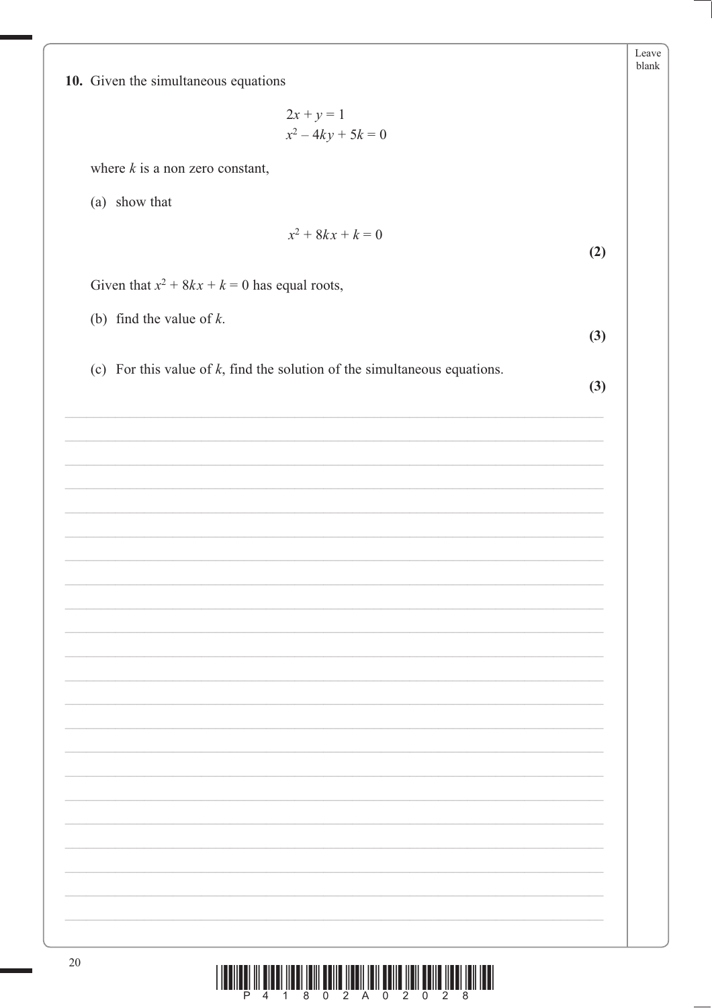| $\left\  \prod\limits_{2} \left\  \prod\limits_{A} \left\  \prod\limits_{0} \left\  \prod\limits_{2} \left\  \prod\limits_{A} \left\  \prod\limits_{B} \right\  \right\  \right\  \right\  \right\ $<br>$\frac{1}{2}$ $\frac{1}{8}$<br>W<br>Ē<br>$\overline{8}$<br>$\overline{2}$<br>$\overline{4}$<br>$\overline{0}$<br>$\overline{1}$ |
|-----------------------------------------------------------------------------------------------------------------------------------------------------------------------------------------------------------------------------------------------------------------------------------------------------------------------------------------|
|                                                                                                                                                                                                                                                                                                                                         |
|                                                                                                                                                                                                                                                                                                                                         |
|                                                                                                                                                                                                                                                                                                                                         |
|                                                                                                                                                                                                                                                                                                                                         |
|                                                                                                                                                                                                                                                                                                                                         |
|                                                                                                                                                                                                                                                                                                                                         |

10. Given the simultaneous equations

 $2x + y = 1$  $x^2 - 4ky + 5k = 0$ 

where  $k$  is a non zero constant,

(a) show that

 $x^2 + 8kx + k = 0$ 

Given that  $x^2 + 8kx + k = 0$  has equal roots,

(b) find the value of  $k$ .

(c) For this value of  $k$ , find the solution of the simultaneous equations.

 $(3)$ 

 $(3)$ 

 $(2)$ 

Leave blank

20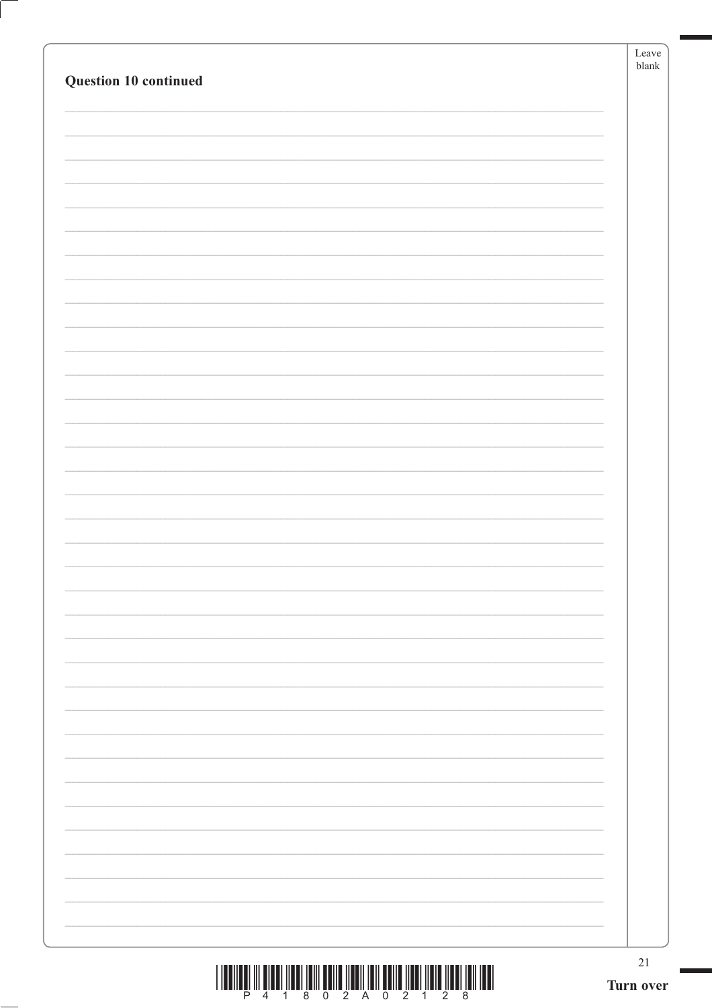| Question 10 continued | Leave<br>blank |
|-----------------------|----------------|
|                       |                |
|                       |                |
|                       |                |
|                       |                |
|                       |                |
|                       |                |
|                       |                |
|                       |                |
|                       |                |
|                       |                |
|                       |                |
|                       |                |
|                       |                |
|                       |                |
|                       | $21\,$         |
|                       | Turn over      |

 $\left( \right)$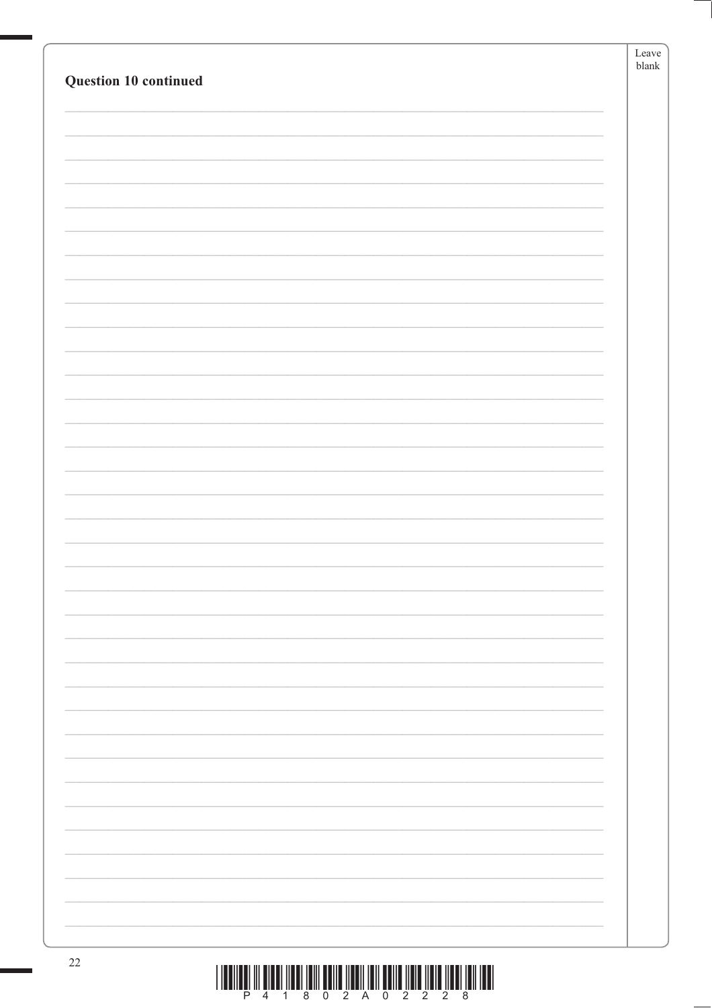|                       | Leave         |
|-----------------------|---------------|
|                       | ${\tt blank}$ |
| Question 10 continued |               |
|                       |               |
|                       |               |
|                       |               |
|                       |               |
|                       |               |
|                       |               |
|                       |               |
|                       |               |
|                       |               |
|                       |               |
|                       |               |
|                       |               |
|                       |               |
|                       |               |
|                       |               |
|                       |               |
|                       |               |
|                       |               |
|                       |               |
|                       |               |
|                       |               |
|                       |               |
|                       |               |
|                       |               |
|                       |               |
|                       |               |
|                       |               |
|                       |               |
|                       |               |
|                       |               |
|                       |               |
|                       |               |
|                       |               |
|                       |               |
|                       |               |
|                       |               |
|                       |               |
|                       |               |
|                       |               |
|                       |               |
|                       |               |
|                       |               |
|                       |               |
|                       |               |
|                       |               |
|                       |               |
|                       |               |
|                       |               |
|                       |               |
|                       |               |
|                       |               |
|                       |               |
|                       |               |
|                       |               |
|                       |               |
| 22                    |               |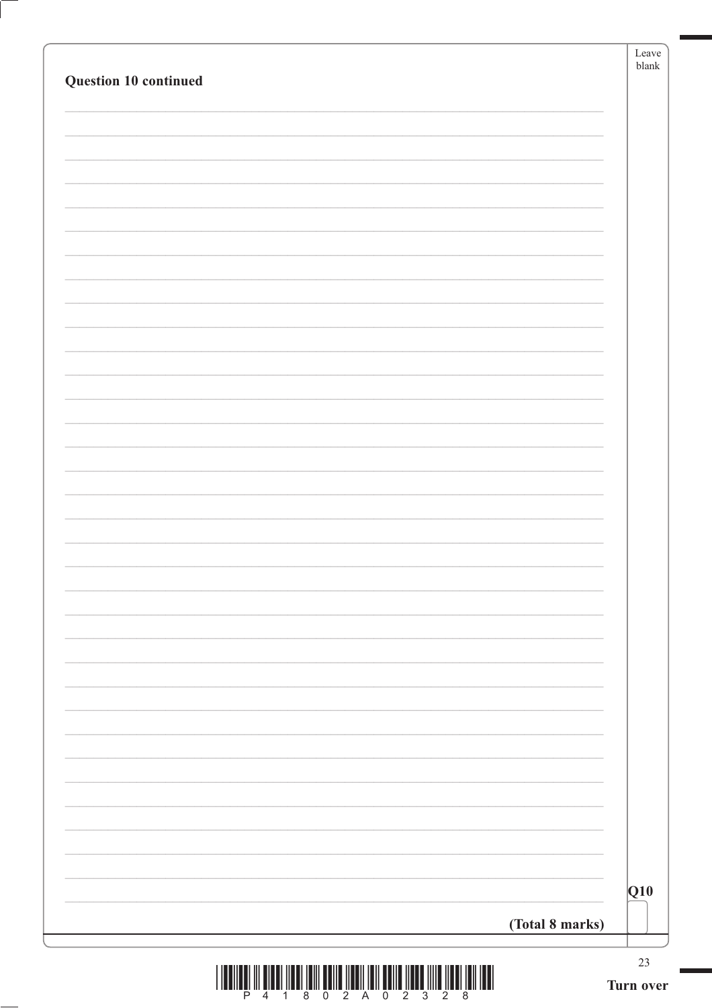|                       | Leave<br>$b$ lank |
|-----------------------|-------------------|
| Question 10 continued |                   |
|                       |                   |
|                       |                   |
|                       |                   |
|                       |                   |
|                       |                   |
|                       |                   |
|                       |                   |
|                       |                   |
|                       |                   |
|                       |                   |
|                       |                   |
|                       |                   |
|                       |                   |
|                       |                   |
|                       |                   |
|                       |                   |
|                       |                   |
|                       |                   |
|                       |                   |
|                       |                   |
|                       |                   |
|                       |                   |
|                       |                   |
|                       |                   |
|                       |                   |
|                       |                   |
|                       |                   |
|                       |                   |
|                       |                   |
|                       |                   |
|                       |                   |
|                       |                   |
|                       |                   |
|                       | $ Q10\rangle$     |
|                       |                   |
| (Total 8 marks)       |                   |
|                       | 23                |

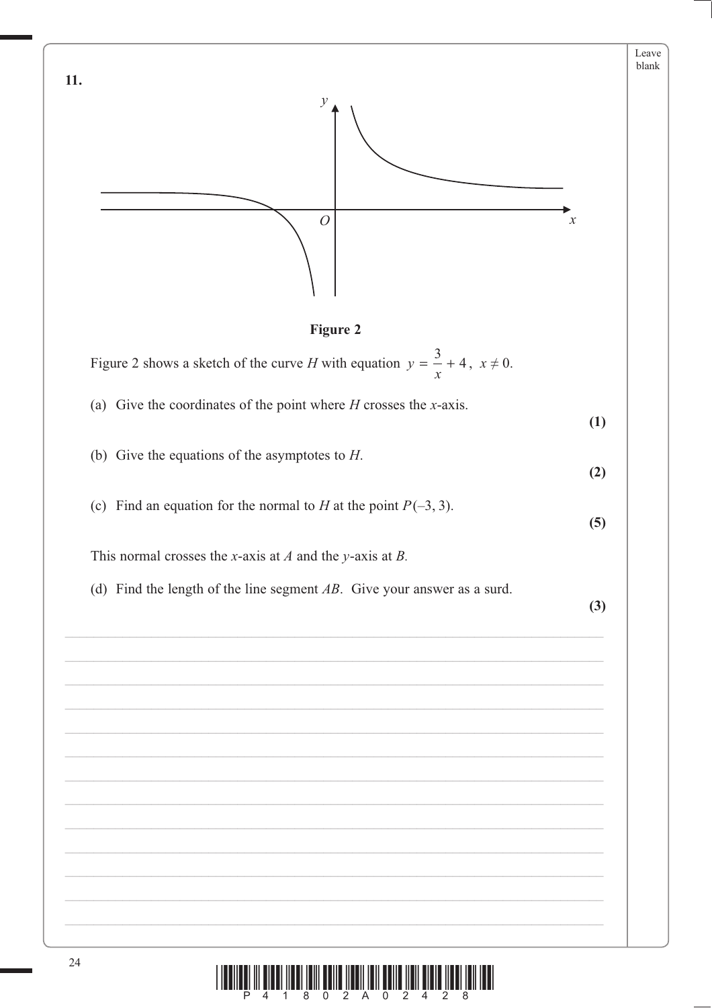

 $\begin{array}{c} \text{if} \ \text{if} \ \text{if} \ \text{if} \ \text{if} \ \text{if} \ \text{if} \ \text{if} \ \text{if} \ \text{if} \ \text{if} \ \text{if} \ \text{if} \ \text{if} \ \text{if} \ \text{if} \ \text{if} \ \text{if} \ \text{if} \ \text{if} \ \text{if} \ \text{if} \ \text{if} \ \text{if} \ \text{if} \ \text{if} \ \text{if} \ \text{if} \ \text{if} \ \text{if} \ \text{if} \ \text{if} \ \text{if} \ \text{if} \ \text{if} \ \text{$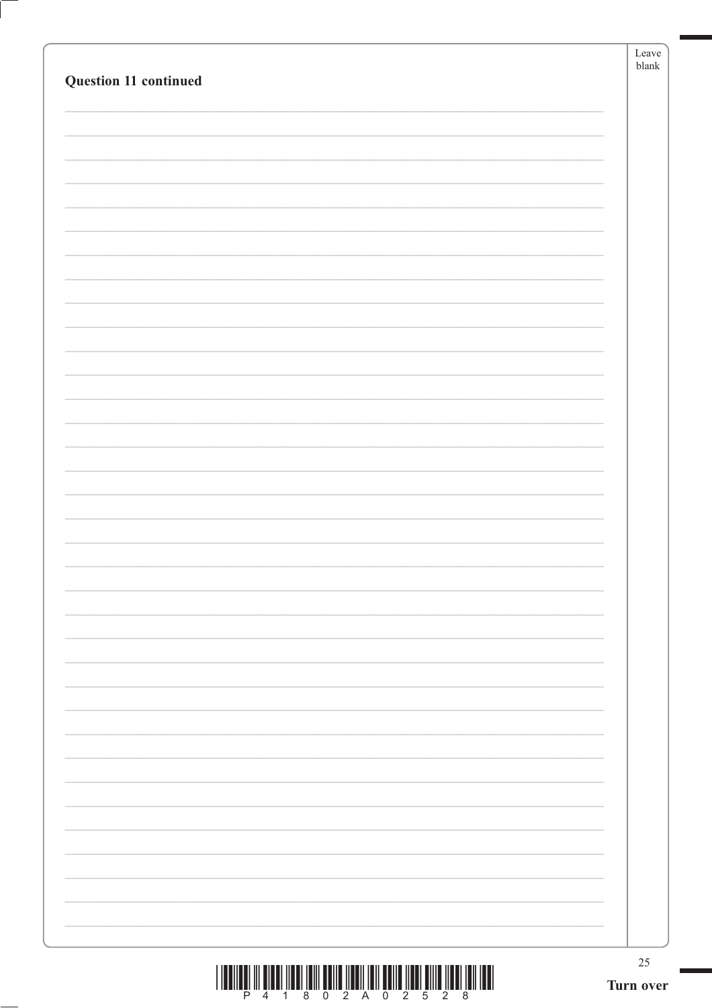|                       |           | Leave<br>${\it blank}$ |
|-----------------------|-----------|------------------------|
| Question 11 continued |           |                        |
|                       |           |                        |
|                       |           |                        |
|                       |           |                        |
|                       |           |                        |
|                       |           |                        |
|                       |           |                        |
|                       |           |                        |
|                       |           |                        |
|                       |           |                        |
|                       |           |                        |
|                       |           |                        |
|                       |           |                        |
|                       |           |                        |
|                       |           |                        |
|                       |           |                        |
|                       |           |                        |
|                       |           |                        |
|                       |           |                        |
|                       |           |                        |
|                       |           |                        |
|                       |           |                        |
|                       |           |                        |
|                       |           |                        |
|                       |           |                        |
|                       |           |                        |
|                       |           |                        |
|                       |           |                        |
|                       |           |                        |
|                       |           |                        |
|                       |           |                        |
|                       |           |                        |
|                       | Turn over | 25                     |
|                       |           |                        |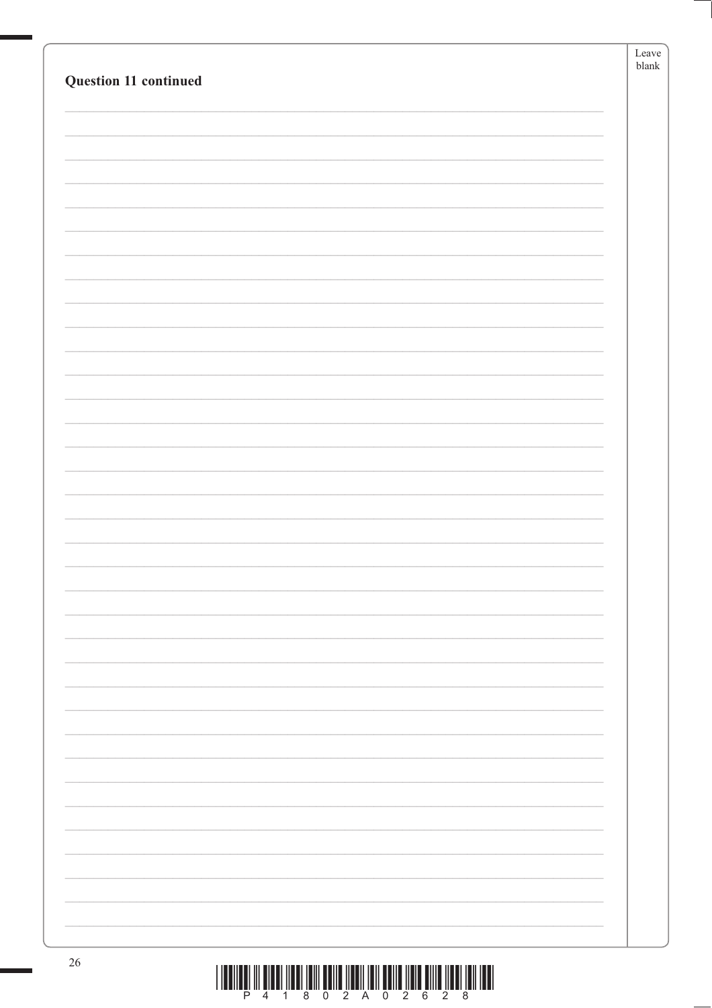|                                                                                                                                 | Leave<br>$b$ lank |
|---------------------------------------------------------------------------------------------------------------------------------|-------------------|
| Question 11 continued                                                                                                           |                   |
|                                                                                                                                 |                   |
|                                                                                                                                 |                   |
|                                                                                                                                 |                   |
|                                                                                                                                 |                   |
|                                                                                                                                 |                   |
|                                                                                                                                 |                   |
|                                                                                                                                 |                   |
|                                                                                                                                 |                   |
|                                                                                                                                 |                   |
|                                                                                                                                 |                   |
|                                                                                                                                 |                   |
|                                                                                                                                 |                   |
|                                                                                                                                 |                   |
|                                                                                                                                 |                   |
|                                                                                                                                 |                   |
|                                                                                                                                 |                   |
|                                                                                                                                 |                   |
|                                                                                                                                 |                   |
|                                                                                                                                 |                   |
|                                                                                                                                 |                   |
|                                                                                                                                 |                   |
|                                                                                                                                 |                   |
|                                                                                                                                 |                   |
|                                                                                                                                 |                   |
|                                                                                                                                 |                   |
|                                                                                                                                 |                   |
|                                                                                                                                 |                   |
|                                                                                                                                 |                   |
|                                                                                                                                 |                   |
|                                                                                                                                 |                   |
|                                                                                                                                 |                   |
|                                                                                                                                 |                   |
|                                                                                                                                 |                   |
|                                                                                                                                 |                   |
| 26<br><u>t the common the mothers them a most member of the contract of the common them the contracts of the common section</u> |                   |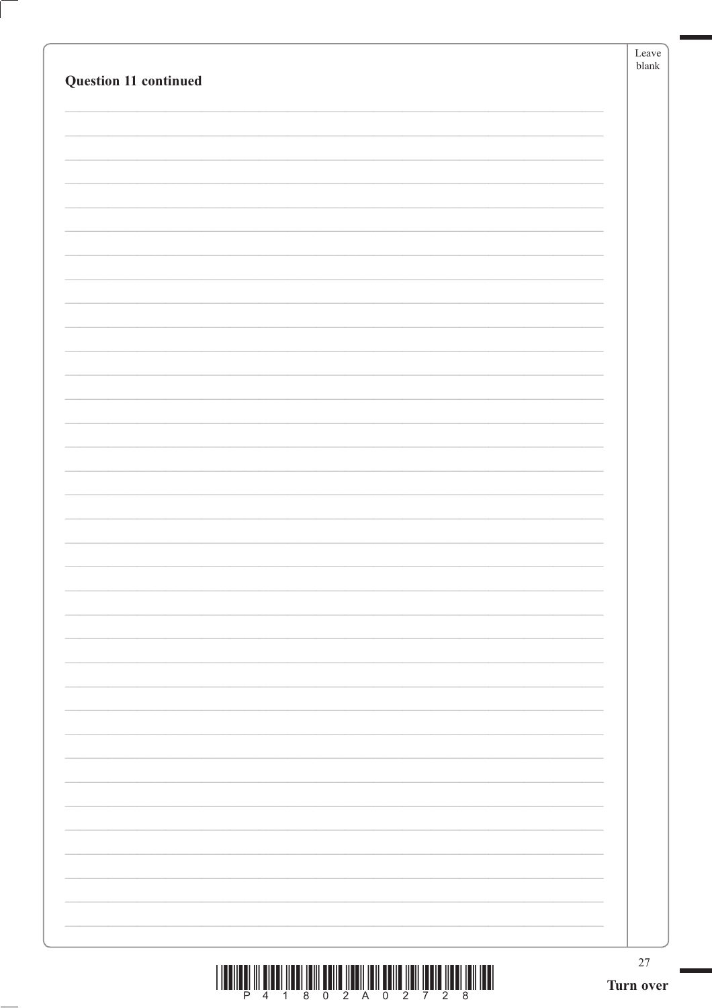|                       | $27\,$<br>Turn over |
|-----------------------|---------------------|
|                       |                     |
|                       |                     |
|                       |                     |
|                       |                     |
|                       |                     |
|                       |                     |
|                       |                     |
|                       |                     |
|                       |                     |
|                       |                     |
|                       |                     |
|                       |                     |
|                       |                     |
|                       |                     |
|                       |                     |
| Question 11 continued |                     |